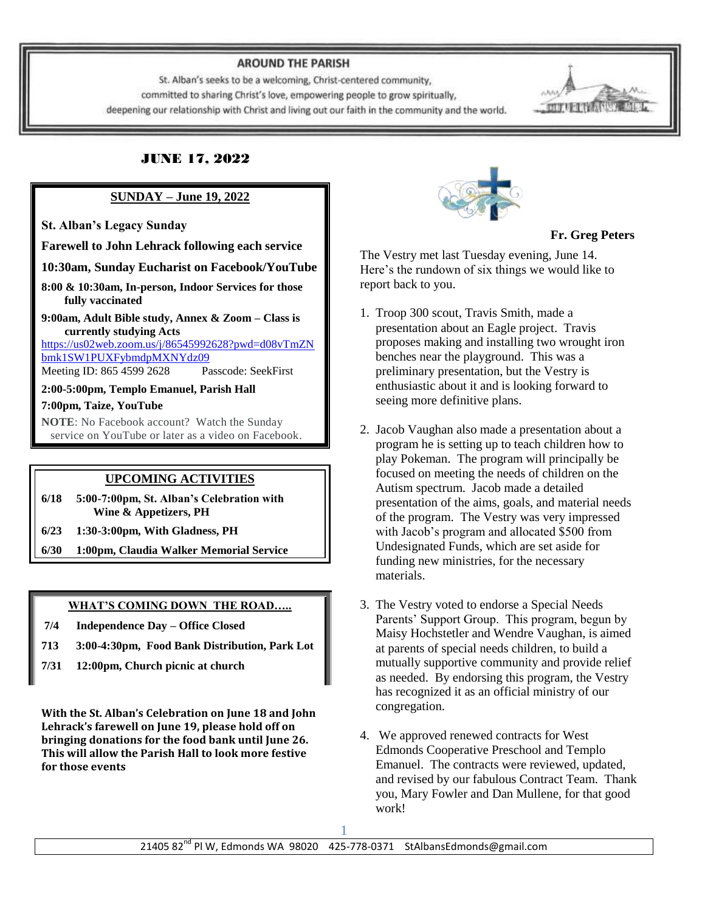#### **AROUND THE PARISH**

St. Alban's seeks to be a welcoming, Christ-centered community, committed to sharing Christ's love, empowering people to grow spiritually, deepening our relationship with Christ and living out our faith in the community and the world.



### **SUNDAY – June 19, 2022**

**St. Alban's Legacy Sunday**

**Farewell to John Lehrack following each service**

**10:30am, Sunday Eucharist on Facebook/YouTube**

**8:00 & 10:30am, In-person, Indoor Services for those fully vaccinated**

**9:00am, Adult Bible study, Annex & Zoom – Class is currently studying Acts** 

[https://us02web.zoom.us/j/86545992628?pwd=d08vTmZN](https://us02web.zoom.us/j/86545992628?pwd=d08vTmZNbmk1SW1PUXFybmdpMXNYdz09) [bmk1SW1PUXFybmdpMXNYdz09](https://us02web.zoom.us/j/86545992628?pwd=d08vTmZNbmk1SW1PUXFybmdpMXNYdz09) Meeting ID: 865 4599 2628 Passcode: SeekFirst

**2:00-5:00pm, Templo Emanuel, Parish Hall**

**7:00pm, Taize, YouTube**

**NOTE**: No Facebook account? Watch the Sunday service on YouTube or later as a video on Facebook.

# **UPCOMING ACTIVITIES**

**6/18 5:00-7:00pm, St. Alban's Celebration with Wine & Appetizers, PH**

- **6/23 1:30-3:00pm, With Gladness, PH**
- **6/30 1:00pm, Claudia Walker Memorial Service**

#### **WHAT'S COMING DOWN THE ROAD…..**

- **7/4 Independence Day – Office Closed**
- **713 3:00-4:30pm, Food Bank Distribution, Park Lot**
- **7/31 12:00pm, Church picnic at church**

**With the St. Alban's Celebration on June 18 and John Lehrack's farewell on June 19, please hold off on bringing donations for the food bank until June 26. This will allow the Parish Hall to look more festive for those events**



 **Fr. Greg Peters**

The Vestry met last Tuesday evening, June 14. Here's the rundown of six things we would like to report back to you.

- 1. Troop 300 scout, Travis Smith, made a presentation about an Eagle project. Travis proposes making and installing two wrought iron benches near the playground. This was a preliminary presentation, but the Vestry is enthusiastic about it and is looking forward to seeing more definitive plans.
- 2. Jacob Vaughan also made a presentation about a program he is setting up to teach children how to play Pokeman. The program will principally be focused on meeting the needs of children on the Autism spectrum. Jacob made a detailed presentation of the aims, goals, and material needs of the program. The Vestry was very impressed with Jacob's program and allocated \$500 from Undesignated Funds, which are set aside for funding new ministries, for the necessary materials.
- 3. The Vestry voted to endorse a Special Needs Parents' Support Group. This program, begun by Maisy Hochstetler and Wendre Vaughan, is aimed at parents of special needs children, to build a mutually supportive community and provide relief as needed. By endorsing this program, the Vestry has recognized it as an official ministry of our congregation.
- 4. We approved renewed contracts for West Edmonds Cooperative Preschool and Templo Emanuel. The contracts were reviewed, updated, and revised by our fabulous Contract Team. Thank you, Mary Fowler and Dan Mullene, for that good work!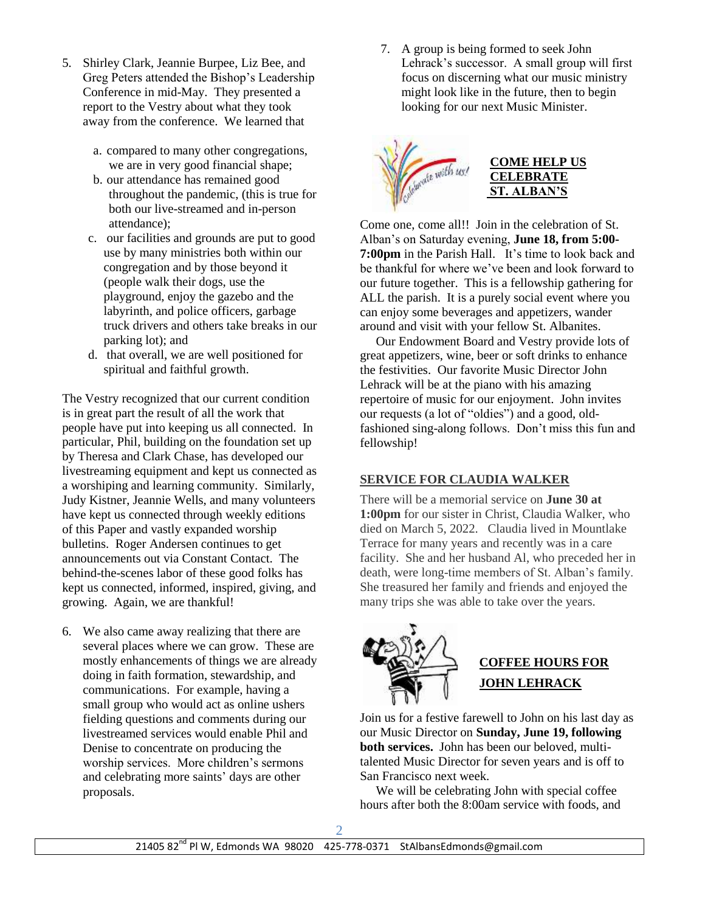- 5. Shirley Clark, Jeannie Burpee, Liz Bee, and Greg Peters attended the Bishop's Leadership Conference in mid-May. They presented a report to the Vestry about what they took away from the conference. We learned that
	- a. compared to many other congregations, we are in very good financial shape;
	- b. our attendance has remained good throughout the pandemic, (this is true for both our live-streamed and in-person attendance);
	- c. our facilities and grounds are put to good use by many ministries both within our congregation and by those beyond it (people walk their dogs, use the playground, enjoy the gazebo and the labyrinth, and police officers, garbage truck drivers and others take breaks in our parking lot); and
	- d. that overall, we are well positioned for spiritual and faithful growth.

The Vestry recognized that our current condition is in great part the result of all the work that people have put into keeping us all connected. In particular, Phil, building on the foundation set up by Theresa and Clark Chase, has developed our livestreaming equipment and kept us connected as a worshiping and learning community. Similarly, Judy Kistner, Jeannie Wells, and many volunteers have kept us connected through weekly editions of this Paper and vastly expanded worship bulletins. Roger Andersen continues to get announcements out via Constant Contact. The behind-the-scenes labor of these good folks has kept us connected, informed, inspired, giving, and growing. Again, we are thankful!

6. We also came away realizing that there are several places where we can grow. These are mostly enhancements of things we are already doing in faith formation, stewardship, and communications. For example, having a small group who would act as online ushers fielding questions and comments during our livestreamed services would enable Phil and Denise to concentrate on producing the worship services. More children's sermons and celebrating more saints' days are other proposals.

7. A group is being formed to seek John Lehrack's successor. A small group will first focus on discerning what our music ministry might look like in the future, then to begin looking for our next Music Minister.



Come one, come all!! Join in the celebration of St. Alban's on Saturday evening, **June 18, from 5:00- 7:00pm** in the Parish Hall. It's time to look back and be thankful for where we've been and look forward to our future together. This is a fellowship gathering for ALL the parish. It is a purely social event where you can enjoy some beverages and appetizers, wander around and visit with your fellow St. Albanites.

 Our Endowment Board and Vestry provide lots of great appetizers, wine, beer or soft drinks to enhance the festivities. Our favorite Music Director John Lehrack will be at the piano with his amazing repertoire of music for our enjoyment. John invites our requests (a lot of "oldies") and a good, oldfashioned sing-along follows. Don't miss this fun and fellowship!

# **SERVICE FOR CLAUDIA WALKER**

There will be a memorial service on **June 30 at 1:00pm** for our sister in Christ, Claudia Walker, who died on March 5, 2022. Claudia lived in Mountlake Terrace for many years and recently was in a care facility. She and her husband Al, who preceded her in death, were long-time members of St. Alban's family. She treasured her family and friends and enjoyed the many trips she was able to take over the years.



Join us for a festive farewell to John on his last day as our Music Director on **Sunday, June 19, following both services.** John has been our beloved, multitalented Music Director for seven years and is off to San Francisco next week.

 We will be celebrating John with special coffee hours after both the 8:00am service with foods, and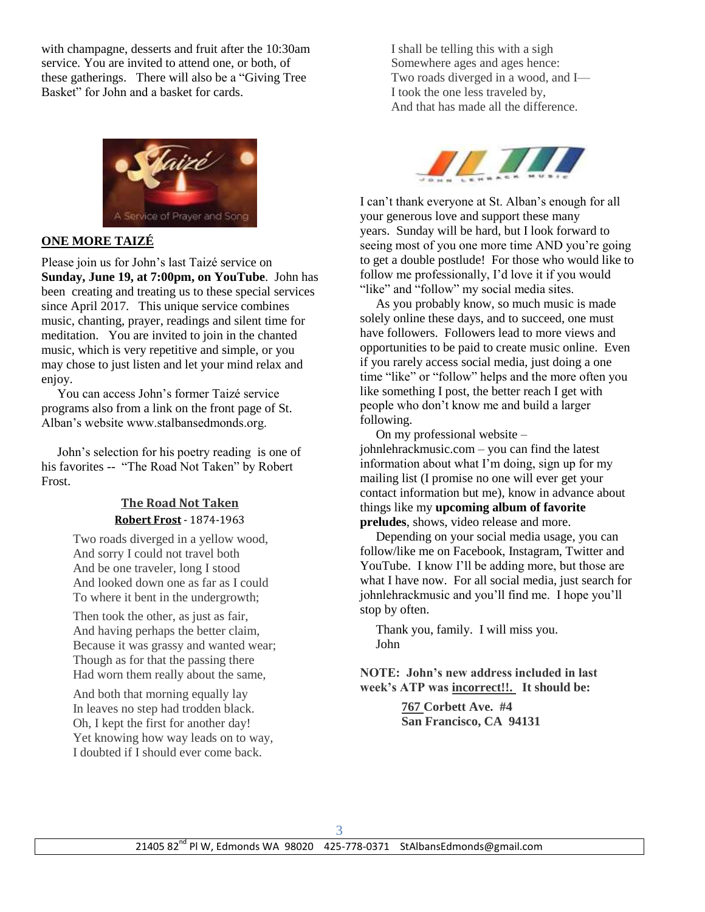with champagne, desserts and fruit after the 10:30am service. You are invited to attend one, or both, of these gatherings. There will also be a "Giving Tree Basket" for John and a basket for cards.



# **ONE MORE TAIZÉ**

Please join us for John's last Taizé service on **Sunday, June 19, at 7:00pm, on YouTube**. John has been creating and treating us to these special services since April 2017. This unique service combines music, chanting, prayer, readings and silent time for meditation. You are invited to join in the chanted music, which is very repetitive and simple, or you may chose to just listen and let your mind relax and enjoy.

 You can access John's former Taizé service programs also from a link on the front page of St. Alban's website www.stalbansedmonds.org.

 John's selection for his poetry reading is one of his favorites -- "The Road Not Taken" by Robert Frost.

### **The Road Not Taken [Robert Frost](https://poets.org/poet/robert-frost)** - 1874-1963

Two roads diverged in a yellow wood, And sorry I could not travel both And be one traveler, long I stood And looked down one as far as I could To where it bent in the undergrowth;

Then took the other, as just as fair, And having perhaps the better claim, Because it was grassy and wanted wear; Though as for that the passing there Had worn them really about the same,

And both that morning equally lay In leaves no step had trodden black. Oh, I kept the first for another day! Yet knowing how way leads on to way, I doubted if I should ever come back.

I shall be telling this with a sigh Somewhere ages and ages hence: Two roads diverged in a wood, and I— I took the one less traveled by, And that has made all the difference.



I can't thank everyone at St. Alban's enough for all your generous love and support these many years. Sunday will be hard, but I look forward to seeing most of you one more time AND you're going to get a double postlude! For those who would like to follow me professionally, I'd love it if you would "like" and "follow" my social media sites.

 As you probably know, so much music is made solely online these days, and to succeed, one must have followers. Followers lead to more views and opportunities to be paid to create music online. Even if you rarely access social media, just doing a one time "like" or "follow" helps and the more often you like something I post, the better reach I get with people who don't know me and build a larger following.

 On my professional website – johnlehrackmusic.com – you can find the latest information about what I'm doing, sign up for my mailing list (I promise no one will ever get your contact information but me), know in advance about things like my **upcoming album of favorite preludes**, shows, video release and more.

 Depending on your social media usage, you can follow/like me on Facebook, Instagram, Twitter and YouTube. I know I'll be adding more, but those are what I have now. For all social media, just search for johnlehrackmusic and you'll find me. I hope you'll stop by often.

 Thank you, family. I will miss you. John

**NOTE: John's new address included in last week's ATP was incorrect!!. It should be:**

> **767 Corbett Ave. #4 San Francisco, CA 94131**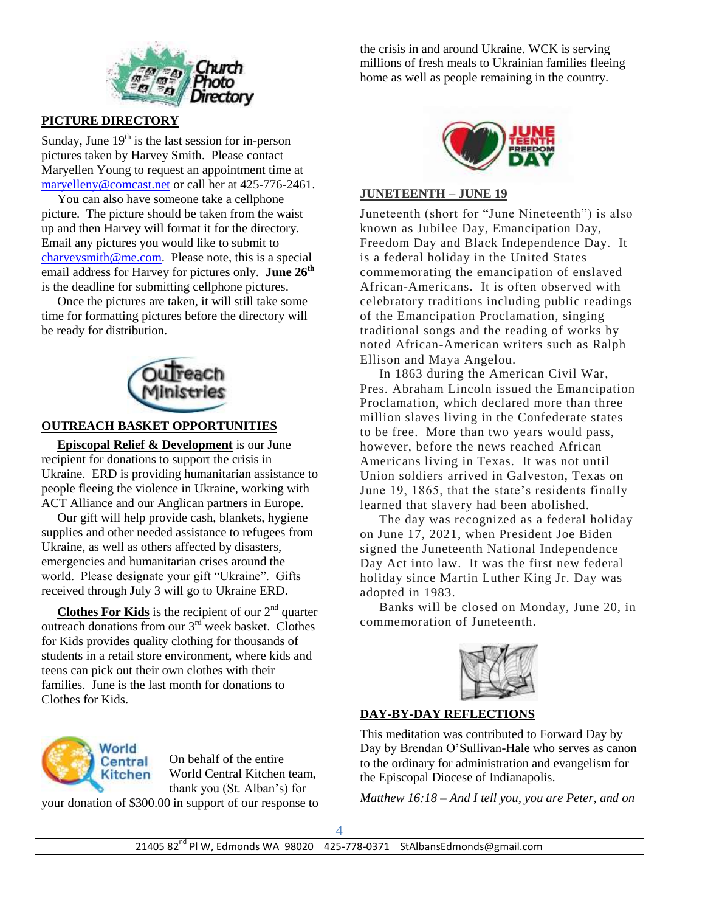

# **PICTURE DIRECTORY**

Sunday, June  $19<sup>th</sup>$  is the last session for in-person pictures taken by Harvey Smith. Please contact Maryellen Young to request an appointment time at [maryelleny@comcast.net](mailto:maryelleny@comcast.net) or call her at 425-776-2461.

 You can also have someone take a cellphone picture. The picture should be taken from the waist up and then Harvey will format it for the directory. Email any pictures you would like to submit to [charveysmith@me.com.](mailto:charveysmith@me.com) Please note, this is a special email address for Harvey for pictures only. **June 26th** is the deadline for submitting cellphone pictures.

 Once the pictures are taken, it will still take some time for formatting pictures before the directory will be ready for distribution.



# **OUTREACH BASKET OPPORTUNITIES**

 **Episcopal Relief & Development** is our June recipient for donations to support the crisis in Ukraine. ERD is providing humanitarian assistance to people fleeing the violence in Ukraine, working with ACT Alliance and our Anglican partners in Europe.

 Our gift will help provide cash, blankets, hygiene supplies and other needed assistance to refugees from Ukraine, as well as others affected by disasters, emergencies and humanitarian crises around the world. Please designate your gift "Ukraine". Gifts received through July 3 will go to Ukraine ERD.

**Clothes For Kids** is the recipient of our  $2<sup>nd</sup>$  quarter outreach donations from our 3<sup>rd</sup> week basket. Clothes for Kids provides quality clothing for thousands of students in a retail store environment, where kids and teens can pick out their own clothes with their families. June is the last month for donations to Clothes for Kids.



On behalf of the entire World Central Kitchen team, thank you (St. Alban's) for

your donation of \$300.00 in support of our response to

the crisis in and around Ukraine. WCK is serving millions of fresh meals to Ukrainian families fleeing home as well as people remaining in the country.



#### **JUNETEENTH – JUNE 19**

Juneteenth (short for "June Nineteenth") is also known as Jubilee Day, Emancipation Day, Freedom Day and Black Independence Day. It is a federal holiday in the United States commemorating the emancipation of enslaved African-Americans. It is often observed with celebratory traditions including public readings of the Emancipation Proclamation, singing traditional songs and the reading of works by noted African-American writers such as Ralph Ellison and Maya Angelou.

 In 1863 during the American Civil War, Pres. Abraham Lincoln issued the Emancipation Proclamation, which declared more than three million slaves living in the Confederate states to be free. More than two years would pass, however, before the news reached African Americans living in Texas. It was not until Union soldiers arrived in Galveston, Texas on June 19, 1865, that the state's residents finally learned that slavery had been abolished.

 The day was recognized as a federal holiday on June 17, 2021, when President Joe Biden signed the Juneteenth National Independence Day Act into law. It was the first new federal holiday since Martin Luther King Jr. Day was adopted in 1983.

 Banks will be closed on Monday, June 20, in commemoration of Juneteenth.



### **DAY-BY-DAY REFLECTIONS**

This meditation was contributed to Forward Day by Day by Brendan O'Sullivan-Hale who serves as canon to the ordinary for administration and evangelism for the Episcopal Diocese of Indianapolis.

*Matthew 16:18 – And I tell you, you are Peter, and on*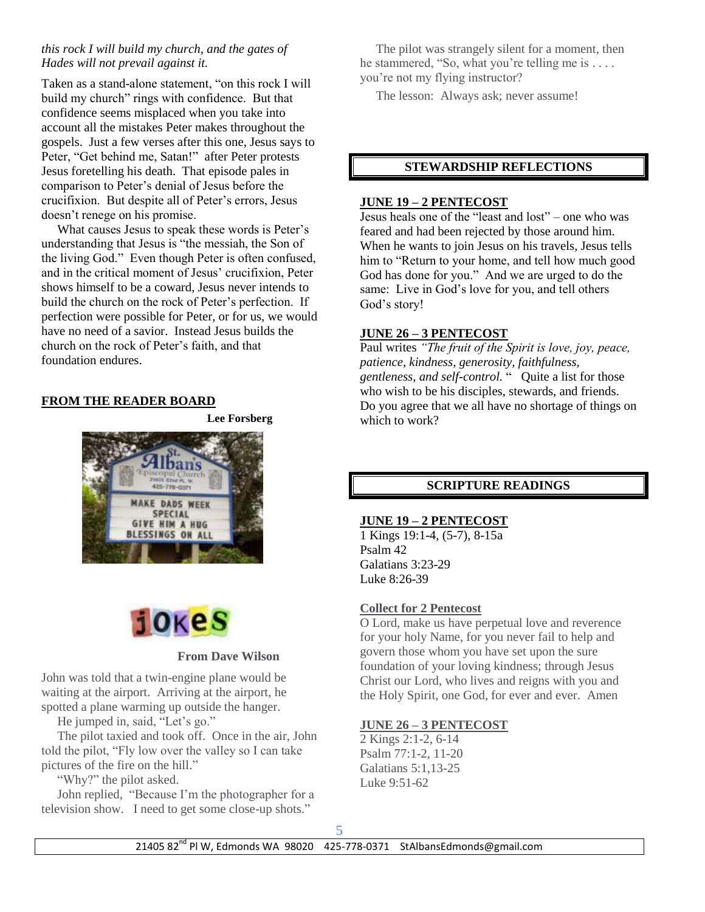### *this rock I will build my church, and the gates of Hades will not prevail against it.*

Taken as a stand-alone statement, "on this rock I will build my church" rings with confidence. But that confidence seems misplaced when you take into account all the mistakes Peter makes throughout the gospels. Just a few verses after this one, Jesus says to Peter, "Get behind me, Satan!" after Peter protests Jesus foretelling his death. That episode pales in comparison to Peter's denial of Jesus before the crucifixion. But despite all of Peter's errors, Jesus doesn't renege on his promise.

 What causes Jesus to speak these words is Peter's understanding that Jesus is "the messiah, the Son of the living God." Even though Peter is often confused, and in the critical moment of Jesus' crucifixion, Peter shows himself to be a coward, Jesus never intends to build the church on the rock of Peter's perfection. If perfection were possible for Peter, or for us, we would have no need of a savior. Instead Jesus builds the church on the rock of Peter's faith, and that foundation endures.

# **FROM THE READER BOARD**

**Lee Forsberg**





#### **From Dave Wilson**

John was told that a twin-engine plane would be waiting at the airport. Arriving at the airport, he spotted a plane warming up outside the hanger.

He jumped in, said, "Let's go."

 The pilot taxied and took off. Once in the air, John told the pilot, "Fly low over the valley so I can take pictures of the fire on the hill."

"Why?" the pilot asked.

 John replied, "Because I'm the photographer for a television show. I need to get some close-up shots."

 The pilot was strangely silent for a moment, then he stammered, "So, what you're telling me is . . . . you're not my flying instructor?

The lesson: Always ask; never assume!

### **STEWARDSHIP REFLECTIONS**

### **JUNE 19 – 2 PENTECOST**

Jesus heals one of the "least and lost" – one who was feared and had been rejected by those around him. When he wants to join Jesus on his travels, Jesus tells him to "Return to your home, and tell how much good God has done for you." And we are urged to do the same: Live in God's love for you, and tell others God's story!

### **JUNE 26 – 3 PENTECOST**

Paul writes *"The fruit of the Spirit is love, joy, peace, patience, kindness, generosity, faithfulness, gentleness, and self-control.* " Quite a list for those who wish to be his disciples, stewards, and friends. Do you agree that we all have no shortage of things on which to work?

# **SCRIPTURE READINGS**

### **JUNE 19 – 2 PENTECOST**

1 Kings 19:1-4, (5-7), 8-15a Psalm 42 Galatians 3:23-29 Luke 8:26-39

# **Collect for 2 Pentecost**

O Lord, make us have perpetual love and reverence for your holy Name, for you never fail to help and govern those whom you have set upon the sure foundation of your loving kindness; through Jesus Christ our Lord, who lives and reigns with you and the Holy Spirit, one God, for ever and ever. Amen

# **JUNE 26 – 3 PENTECOST**

2 Kings 2:1-2, 6-14 Psalm 77:1-2, 11-20 Galatians 5:1,13-25 Luke 9:51-62